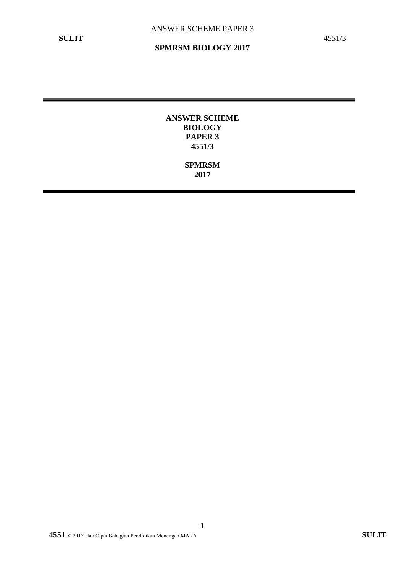**ANSWER SCHEME BIOLOGY PAPER 3 4551/3**

> **SPMRSM 2017**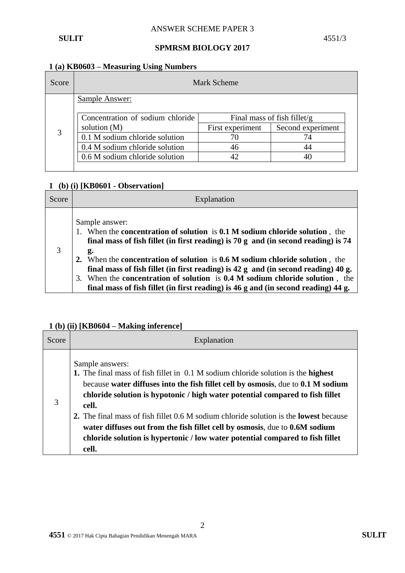#### **1 (a) KB0603 – Measuring Using Numbers**

| Score | Mark Scheme                                                     |                  |                   |  |
|-------|-----------------------------------------------------------------|------------------|-------------------|--|
|       | Sample Answer:                                                  |                  |                   |  |
|       | Concentration of sodium chloride<br>Final mass of fish fillet/g |                  |                   |  |
|       | solution $(M)$                                                  | First experiment | Second experiment |  |
| 3     | 0.1 M sodium chloride solution                                  |                  | 74                |  |
|       | 0.4 M sodium chloride solution                                  | 46               | 44                |  |
|       | 0.6 M sodium chloride solution                                  |                  |                   |  |
|       |                                                                 |                  |                   |  |

## **1 (b) (i) [KB0601 - Observation]**

| Score | Explanation                                                                                                                                                                                                                                                                                                                                                                                                                                                 |
|-------|-------------------------------------------------------------------------------------------------------------------------------------------------------------------------------------------------------------------------------------------------------------------------------------------------------------------------------------------------------------------------------------------------------------------------------------------------------------|
| 3     | Sample answer:<br>1. When the concentration of solution is 0.1 M sodium chloride solution, the<br>final mass of fish fillet (in first reading) is $70 g$ and (in second reading) is $74$<br>g.<br>2. When the concentration of solution is 0.6 M sodium chloride solution, the<br>final mass of fish fillet (in first reading) is $42$ g and (in second reading) $40$ g.<br>When the concentration of solution is 0.4 M sodium chloride solution, the<br>3. |
|       | final mass of fish fillet (in first reading) is 46 g and (in second reading) 44 g.                                                                                                                                                                                                                                                                                                                                                                          |

## **1 (b) (ii) [KB0604 – Making inference]**

| Score | Explanation                                                                                                                                                                                                                                                                                                                                                                                                                                                                                                                                                 |
|-------|-------------------------------------------------------------------------------------------------------------------------------------------------------------------------------------------------------------------------------------------------------------------------------------------------------------------------------------------------------------------------------------------------------------------------------------------------------------------------------------------------------------------------------------------------------------|
| 3     | Sample answers:<br>1. The final mass of fish fillet in 0.1 M sodium chloride solution is the highest<br>because water diffuses into the fish fillet cell by osmosis, due to 0.1 M sodium<br>chloride solution is hypotonic / high water potential compared to fish fillet<br>cell.<br>2. The final mass of fish fillet 0.6 M sodium chloride solution is the <b>lowest</b> because<br>water diffuses out from the fish fillet cell by osmosis, due to 0.6M sodium<br>chloride solution is hypertonic / low water potential compared to fish fillet<br>cell. |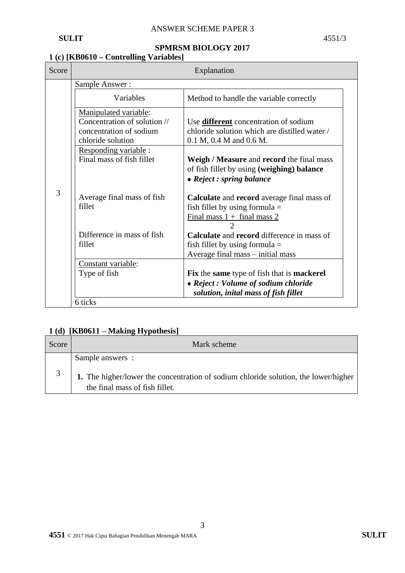## **1 (c) [KB0610 – Controlling Variables]**

| Score | Explanation                          |                                                                                                                                                 |  |  |
|-------|--------------------------------------|-------------------------------------------------------------------------------------------------------------------------------------------------|--|--|
|       | Sample Answer:                       |                                                                                                                                                 |  |  |
|       | Variables                            | Method to handle the variable correctly                                                                                                         |  |  |
|       | Manipulated variable:                |                                                                                                                                                 |  |  |
|       | Concentration of solution //         | Use <b>different</b> concentration of sodium                                                                                                    |  |  |
|       | concentration of sodium              | chloride solution which are distilled water /                                                                                                   |  |  |
|       | chloride solution                    | $0.1 M$ , $0.4 M$ and $0.6 M$ .                                                                                                                 |  |  |
|       | Responding variable :                |                                                                                                                                                 |  |  |
|       | Final mass of fish fillet            | Weigh / Measure and record the final mass                                                                                                       |  |  |
|       |                                      | of fish fillet by using (weighing) balance                                                                                                      |  |  |
|       |                                      | • Reject : spring balance                                                                                                                       |  |  |
| 3     | Average final mass of fish<br>fillet | <b>Calculate</b> and <b>record</b> average final mass of<br>fish fillet by using formula $=$<br>Final mass $1 +$ final mass 2<br>$\overline{2}$ |  |  |
|       | Difference in mass of fish           | <b>Calculate</b> and <b>record</b> difference in mass of                                                                                        |  |  |
|       | fillet                               | fish fillet by using formula $=$                                                                                                                |  |  |
|       |                                      | Average final mass – initial mass                                                                                                               |  |  |
|       | Constant variable:                   |                                                                                                                                                 |  |  |
|       | Type of fish                         | Fix the same type of fish that is mackerel                                                                                                      |  |  |
|       |                                      | • Reject : Volume of sodium chloride                                                                                                            |  |  |
|       |                                      | solution, inital mass of fish fillet                                                                                                            |  |  |
|       | 6 ticks                              |                                                                                                                                                 |  |  |

## **1 (d) [KB0611 – Making Hypothesis]**

| Score | Mark scheme                                                                                                           |
|-------|-----------------------------------------------------------------------------------------------------------------------|
|       | Sample answers :                                                                                                      |
|       | 1. The higher/lower the concentration of sodium chloride solution, the lower/higher<br>the final mass of fish fillet. |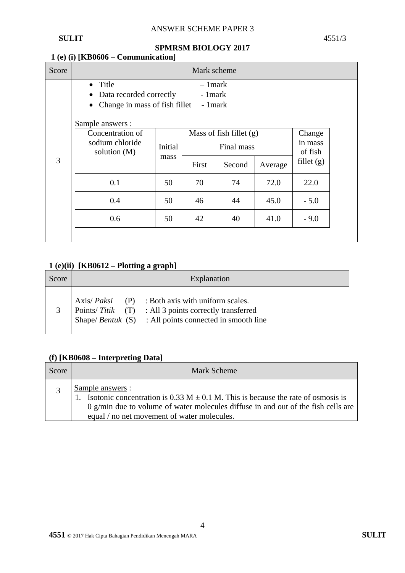# ANSWER SCHEME PAPER 3

**SULIT** 4551/3

# **SPMRSM BIOLOGY 2017**

# **1 (e) (i) [KB0606 – Communication]**

| Score | Mark scheme                                                                                                                  |                                                    |                                   |        |                              |              |
|-------|------------------------------------------------------------------------------------------------------------------------------|----------------------------------------------------|-----------------------------------|--------|------------------------------|--------------|
|       | Title<br>$\bullet$<br>Data recorded correctly<br>$\bullet$<br>Change in mass of fish fillet<br>$\bullet$<br>Sample answers : |                                                    | $-1$ mark<br>- 1 mark<br>- 1 mark |        |                              |              |
|       | Concentration of<br>sodium chloride                                                                                          | Mass of fish fillet $(g)$<br>Initial<br>Final mass |                                   |        | Change<br>in mass<br>of fish |              |
| 3     | solution $(M)$                                                                                                               | mass                                               | First                             | Second | Average                      | fillet $(g)$ |
|       | 0.1                                                                                                                          | 50                                                 | 70                                | 74     | 72.0                         | 22.0         |
|       | 0.4                                                                                                                          | 50                                                 | 46                                | 44     | 45.0                         | $-5.0$       |
|       | 0.6                                                                                                                          | 50                                                 | 42                                | 40     | 41.0                         | $-9.0$       |
|       |                                                                                                                              |                                                    |                                   |        |                              |              |

# **1 (e)(ii) [KB0612 – Plotting a graph]**

| Score | Explanation |                                                                                                                                                                                    |  |
|-------|-------------|------------------------------------------------------------------------------------------------------------------------------------------------------------------------------------|--|
|       |             | Axis/ $Paksi$ (P) : Both axis with uniform scales.<br>Points/ $Titik$ (T) : All 3 points correctly transferred<br>Shape/ <i>Bentuk</i> $(S)$ : All points connected in smooth line |  |

#### **(f) [KB0608 – Interpreting Data]**

| Score | Mark Scheme                                                                                                                                                                                                                                         |
|-------|-----------------------------------------------------------------------------------------------------------------------------------------------------------------------------------------------------------------------------------------------------|
|       | Sample answers :<br>Isotonic concentration is 0.33 M $\pm$ 0.1 M. This is because the rate of osmosis is<br>$\alpha$ g/min due to volume of water molecules diffuse in and out of the fish cells are<br>equal / no net movement of water molecules. |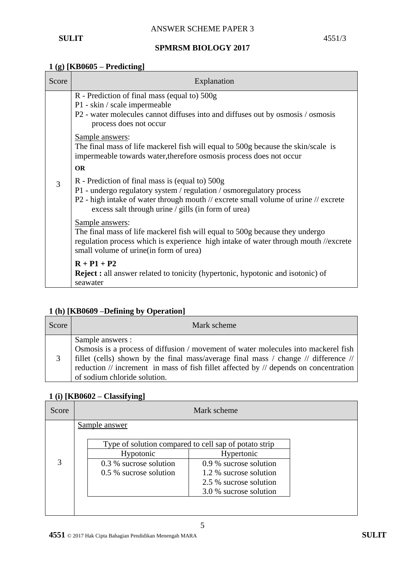#### **1 (g) [KB0605 – Predicting]**

| Score | Explanation                                                                                                                                                                                                                                                           |  |  |  |
|-------|-----------------------------------------------------------------------------------------------------------------------------------------------------------------------------------------------------------------------------------------------------------------------|--|--|--|
|       | R - Prediction of final mass (equal to) 500g<br>P1 - skin / scale impermeable<br>P2 - water molecules cannot diffuses into and diffuses out by osmosis / osmosis<br>process does not occur                                                                            |  |  |  |
|       | Sample answers:<br>The final mass of life mackerel fish will equal to 500g because the skin/scale is<br>impermeable towards water, therefore osmosis process does not occur                                                                                           |  |  |  |
|       | <b>OR</b>                                                                                                                                                                                                                                                             |  |  |  |
| 3     | R - Prediction of final mass is (equal to) 500g<br>P1 - undergo regulatory system / regulation / osmoregulatory process<br>P2 - high intake of water through mouth // excrete small volume of urine // excrete<br>excess salt through urine / gills (in form of urea) |  |  |  |
|       | Sample answers:<br>The final mass of life mackerel fish will equal to 500g because they undergo<br>regulation process which is experience high intake of water through mouth //excrete<br>small volume of urine (in form of urea)                                     |  |  |  |
|       | $R + P1 + P2$<br><b>Reject :</b> all answer related to tonicity (hypertonic, hypotonic and isotonic) of<br>seawater                                                                                                                                                   |  |  |  |

# **1 (h) [KB0609 –Defining by Operation]**

| Score | Mark scheme                                                                                                                                                                                                                                                                                                                    |
|-------|--------------------------------------------------------------------------------------------------------------------------------------------------------------------------------------------------------------------------------------------------------------------------------------------------------------------------------|
|       | Sample answers :<br>Osmosis is a process of diffusion / movement of water molecules into mackerel fish<br>fillet (cells) shown by the final mass/average final mass / change // difference // $\vert$<br>reduction // increment in mass of fish fillet affected by // depends on concentration<br>of sodium chloride solution. |

## **1 (i) [KB0602 – Classifying]**

| Score |                        | Mark scheme                                           |  |
|-------|------------------------|-------------------------------------------------------|--|
|       | Sample answer          |                                                       |  |
|       |                        | Type of solution compared to cell sap of potato strip |  |
|       | Hypotonic              | Hypertonic                                            |  |
| 3     | 0.3 % sucrose solution | 0.9 % sucrose solution                                |  |
|       | 0.5 % sucrose solution | 1.2 % sucrose solution                                |  |
|       |                        | 2.5 % sucrose solution                                |  |
|       |                        | 3.0 % sucrose solution                                |  |
|       |                        |                                                       |  |
|       |                        |                                                       |  |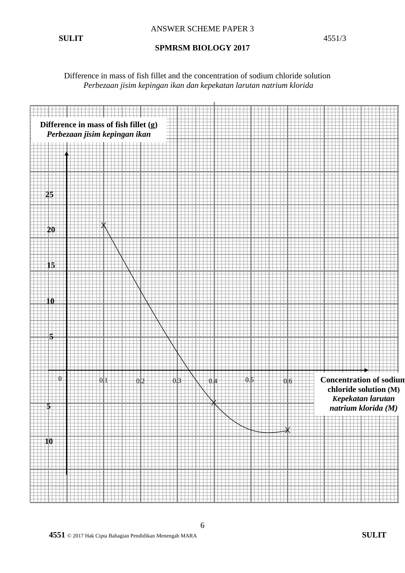Difference in mass of fish fillet and the concentration of sodium chloride solution *Perbezaan jisim kepingan ikan dan kepekatan larutan natrium klorida*



6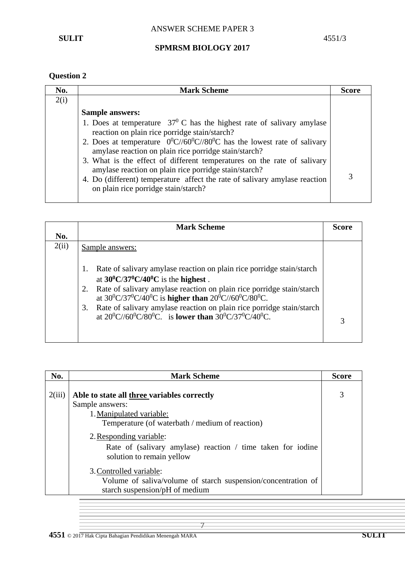# **Question 2**

| No.  | <b>Mark Scheme</b>                                                                                                                                                                                                                                                                                                                                                                                                                                                                                                                | <b>Score</b> |
|------|-----------------------------------------------------------------------------------------------------------------------------------------------------------------------------------------------------------------------------------------------------------------------------------------------------------------------------------------------------------------------------------------------------------------------------------------------------------------------------------------------------------------------------------|--------------|
| 2(i) |                                                                                                                                                                                                                                                                                                                                                                                                                                                                                                                                   |              |
|      | <b>Sample answers:</b>                                                                                                                                                                                                                                                                                                                                                                                                                                                                                                            |              |
|      | 1. Does at temperature $37^{\circ}$ C has the highest rate of salivary amylase<br>reaction on plain rice porridge stain/starch?<br>2. Does at temperature $0^0C//60^0C//80^0C$ has the lowest rate of salivary<br>amylase reaction on plain rice porridge stain/starch?<br>3. What is the effect of different temperatures on the rate of salivary<br>amylase reaction on plain rice porridge stain/starch?<br>4. Do (different) temperature affect the rate of salivary amylase reaction<br>on plain rice porridge stain/starch? |              |

|       | <b>Mark Scheme</b>                                                                                                                                 |   |  |
|-------|----------------------------------------------------------------------------------------------------------------------------------------------------|---|--|
| No.   |                                                                                                                                                    |   |  |
| 2(ii) | Sample answers:                                                                                                                                    |   |  |
|       | Rate of salivary amylase reaction on plain rice porridge stain/starch<br>1.<br>at $30^0$ C/37 <sup>0</sup> C/40 <sup>0</sup> C is the highest.     |   |  |
|       | Rate of salivary amylase reaction on plain rice porridge stain/starch<br>2.<br>at $30^0C/37^0C/40^0C$ is higher than $20^0C/60^0C/80^0C$ .         |   |  |
|       | Rate of salivary amylase reaction on plain rice porridge stain/starch<br>3.<br>at $20^0C/(60^0C/80^0C)$ is <b>lower than</b> $30^0C/37^0C/40^0C$ . | 3 |  |
|       |                                                                                                                                                    |   |  |

| No.    | <b>Mark Scheme</b>                                                                                                                                                                                                                      |                   |  |
|--------|-----------------------------------------------------------------------------------------------------------------------------------------------------------------------------------------------------------------------------------------|-------------------|--|
| 2(iii) | Able to state all three variables correctly<br>Sample answers:<br>1. Manipulated variable:<br>Temperature (of waterbath / medium of reaction)<br>2. Responding variable:<br>Rate of (salivary amylase) reaction / time taken for iodine | <b>Score</b><br>3 |  |
|        | solution to remain yellow<br>3. Controlled variable:<br>Volume of saliva/volume of starch suspension/concentration of<br>starch suspension/pH of medium                                                                                 |                   |  |

7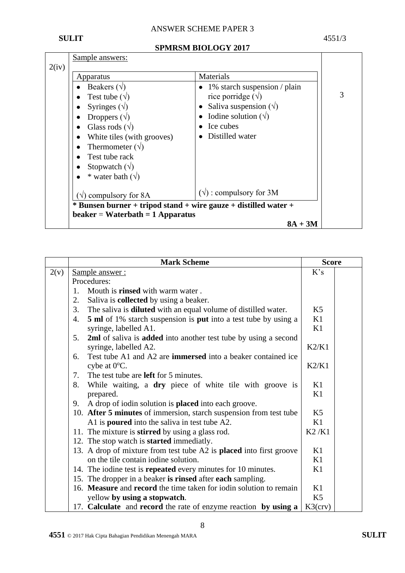## ANSWER SCHEME PAPER 3

#### **SULIT** 4551/3

#### **SPMRSM BIOLOGY 2017**

| 2(iv) | Sample answers:                                                                                                                                                                                                                                                   |                                                                                                                                                                                  |   |
|-------|-------------------------------------------------------------------------------------------------------------------------------------------------------------------------------------------------------------------------------------------------------------------|----------------------------------------------------------------------------------------------------------------------------------------------------------------------------------|---|
|       | Apparatus<br>Beakers $(\forall)$<br>Test tube $(\sqrt{)}$<br>Syringes $(\sqrt{})$<br>Droppers $(\forall)$<br>Glass rods $(\sqrt{})$<br>White tiles (with grooves)<br>Thermometer $(\forall)$<br>Test tube rack<br>Stopwatch $(\forall)$<br>* water bath $(\sqrt)$ | Materials<br>$\bullet$ 1% starch suspension / plain<br>rice porridge $(\forall)$<br>• Saliva suspension $(\sqrt)$<br>Iodine solution $(\sqrt{)}$<br>Ice cubes<br>Distilled water | 3 |
|       | $\forall$ ) compulsory for 8A<br>$*$ Bunsen burner + tripod stand + wire gauze + distilled water +<br>$beaker = Waterbath = 1$ Apparatus                                                                                                                          | $(\sqrt{})$ : compulsory for 3M<br>$8A + 3M$                                                                                                                                     |   |

|      | <b>Mark Scheme</b>                                                                  | <b>Score</b>   |  |
|------|-------------------------------------------------------------------------------------|----------------|--|
| 2(v) | Sample answer:                                                                      |                |  |
|      | Procedures:                                                                         |                |  |
|      | Mouth is <b>rinsed</b> with warm water.<br>1.                                       |                |  |
|      | 2.<br>Saliva is <b>collected</b> by using a beaker.                                 |                |  |
|      | 3.<br>The saliva is <b>diluted</b> with an equal volume of distilled water.         | K <sub>5</sub> |  |
|      | <b>5 ml</b> of 1% starch suspension is <b>put</b> into a test tube by using a<br>4. | K1             |  |
|      | syringe, labelled A1.                                                               | K1             |  |
|      | 2ml of saliva is added into another test tube by using a second<br>5.               |                |  |
|      | syringe, labelled A2.                                                               | K2/K1          |  |
|      | Test tube A1 and A2 are <b>immersed</b> into a beaker contained ice<br>6.           |                |  |
|      | cybe at $0^{\circ}$ C.                                                              | K2/K1          |  |
|      | The test tube are <b>left</b> for 5 minutes.<br>7.                                  |                |  |
|      | 8.<br>While waiting, a dry piece of white tile with groove is                       | K1             |  |
|      | prepared.                                                                           | K1             |  |
|      | A drop of iodin solution is <b>placed</b> into each groove.<br>9.                   |                |  |
|      | 10. After 5 minutes of immersion, starch suspension from test tube                  |                |  |
|      | A1 is <b>poured</b> into the saliva in test tube A2.                                |                |  |
|      | 11. The mixture is <b>stirred</b> by using a glass rod.                             | K2/K1          |  |
|      | 12. The stop watch is <b>started</b> immediatly.                                    |                |  |
|      | 13. A drop of mixture from test tube A2 is placed into first groove                 | K1             |  |
|      | on the tile contain iodine solution.                                                | K1             |  |
|      | 14. The iodine test is <b>repeated</b> every minutes for 10 minutes.                | K1             |  |
|      | 15. The dropper in a beaker is rinsed after each sampling.                          |                |  |
|      | 16. Measure and record the time taken for iodin solution to remain                  | K1             |  |
|      | yellow by using a stopwatch.                                                        |                |  |
|      | 17. Calculate and record the rate of enzyme reaction by using a                     |                |  |

8